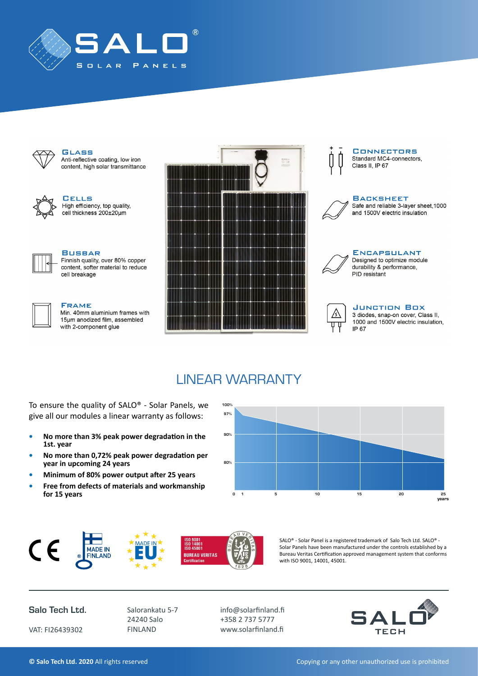



#### **GLASS** Anti-reflective coating, low iron content, high solar transmittance



**GELLS** High efficiency, top quality, cell thickness 200±20um



### **BUSBAR**

Finnish quality, over 80% copper content, softer material to reduce cell breakage



#### **FRAME**

Min. 40mm aluminium frames with 15µm anodized film, assembled with 2-component glue







**BACKSHEET** Safe and reliable 3-layer sheet, 1000 and 1500V electric insulation



**ENCAPSULANT** Designed to optimize module durability & performance, PID resistant



#### **JUNCTION BOX**

3 diodes, snap-on cover, Class II, 1000 and 1500V electric insulation, IP 67

## LINEAR WARRANTY

To ensure the quality of SALO® - Solar Panels, we give all our modules a linear warranty as follows:

- **• No more than 3% peak power degradation in the 1st. year**
- **• No more than 0,72% peak power degradation per year in upcoming 24 years**
- **• Minimum of 80% power output after 25 years**
- **• Free from defects of materials and workmanship for 15 years** 0 1





SALO® - Solar Panel is a registered trademark of Salo Tech Ltd. SALO® - Solar Panels have been manufactured under the controls established by a Bureau Veritas Certification approved management system that conforms with ISO 9001, 14001, 45001.

Salo Tech Ltd.

VAT: FI26439302

Salorankatu 5-7 24240 Salo FINLAND

info@solarfinland.fi +358 2 737 5777 www.solarfinland.fi



**Copying or any other unauthorized use is prohibited** Copying or any other unauthorized use is prohibited